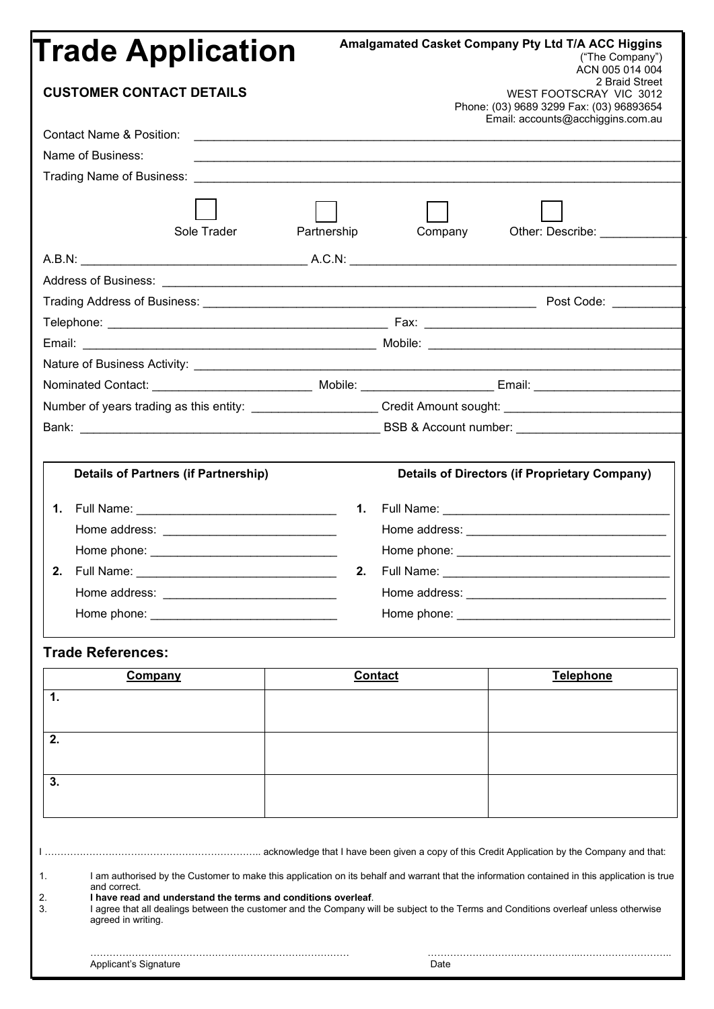| <b>Trade Application</b><br><b>CUSTOMER CONTACT DETAILS</b>                                                                                                                                                                                                                  |                                                               | Amalgamated Casket Company Pty Ltd T/A ACC Higgins<br>("The Company")<br>ACN 005 014 004<br>2 Braid Street<br>WEST FOOTSCRAY VIC 3012<br>Phone: (03) 9689 3299 Fax: (03) 96893654                                              |                                                                                                                                                                                                                                                                                       |  |
|------------------------------------------------------------------------------------------------------------------------------------------------------------------------------------------------------------------------------------------------------------------------------|---------------------------------------------------------------|--------------------------------------------------------------------------------------------------------------------------------------------------------------------------------------------------------------------------------|---------------------------------------------------------------------------------------------------------------------------------------------------------------------------------------------------------------------------------------------------------------------------------------|--|
|                                                                                                                                                                                                                                                                              |                                                               |                                                                                                                                                                                                                                | Email: accounts@acchiggins.com.au                                                                                                                                                                                                                                                     |  |
| Name of Business:                                                                                                                                                                                                                                                            |                                                               |                                                                                                                                                                                                                                |                                                                                                                                                                                                                                                                                       |  |
|                                                                                                                                                                                                                                                                              |                                                               |                                                                                                                                                                                                                                |                                                                                                                                                                                                                                                                                       |  |
|                                                                                                                                                                                                                                                                              |                                                               |                                                                                                                                                                                                                                |                                                                                                                                                                                                                                                                                       |  |
| Sole Trader                                                                                                                                                                                                                                                                  | Partnership                                                   | Company                                                                                                                                                                                                                        | Other: Describe: __________                                                                                                                                                                                                                                                           |  |
|                                                                                                                                                                                                                                                                              |                                                               |                                                                                                                                                                                                                                |                                                                                                                                                                                                                                                                                       |  |
|                                                                                                                                                                                                                                                                              |                                                               |                                                                                                                                                                                                                                |                                                                                                                                                                                                                                                                                       |  |
|                                                                                                                                                                                                                                                                              |                                                               |                                                                                                                                                                                                                                |                                                                                                                                                                                                                                                                                       |  |
|                                                                                                                                                                                                                                                                              |                                                               |                                                                                                                                                                                                                                |                                                                                                                                                                                                                                                                                       |  |
|                                                                                                                                                                                                                                                                              |                                                               |                                                                                                                                                                                                                                |                                                                                                                                                                                                                                                                                       |  |
|                                                                                                                                                                                                                                                                              |                                                               |                                                                                                                                                                                                                                |                                                                                                                                                                                                                                                                                       |  |
| Nominated Contact: _________________________________ Mobile: _________________________Email: _______________________                                                                                                                                                         |                                                               |                                                                                                                                                                                                                                |                                                                                                                                                                                                                                                                                       |  |
| Number of years trading as this entity: _______________________Credit Amount sought: _________________________                                                                                                                                                               |                                                               |                                                                                                                                                                                                                                |                                                                                                                                                                                                                                                                                       |  |
|                                                                                                                                                                                                                                                                              |                                                               |                                                                                                                                                                                                                                |                                                                                                                                                                                                                                                                                       |  |
|                                                                                                                                                                                                                                                                              |                                                               |                                                                                                                                                                                                                                |                                                                                                                                                                                                                                                                                       |  |
| <b>Details of Partners (if Partnership)</b><br>2. Full Name: The Contract of the Contract of the Contract of the Contract of the Contract of the Contract of the Contract of the Contract of the Contract of the Contract of the Contract of the Contract of the Contract of | 2.                                                            | Full Name: The Contract of the Contract of the Contract of the Contract of the Contract of the Contract of the Contract of the Contract of the Contract of the Contract of the Contract of the Contract of the Contract of the | <b>Details of Directors (if Proprietary Company)</b>                                                                                                                                                                                                                                  |  |
|                                                                                                                                                                                                                                                                              |                                                               |                                                                                                                                                                                                                                |                                                                                                                                                                                                                                                                                       |  |
|                                                                                                                                                                                                                                                                              |                                                               |                                                                                                                                                                                                                                |                                                                                                                                                                                                                                                                                       |  |
| <b>Trade References:</b>                                                                                                                                                                                                                                                     |                                                               |                                                                                                                                                                                                                                |                                                                                                                                                                                                                                                                                       |  |
| <b>Company</b>                                                                                                                                                                                                                                                               | <b>Contact</b>                                                |                                                                                                                                                                                                                                | <b>Telephone</b>                                                                                                                                                                                                                                                                      |  |
| 1.                                                                                                                                                                                                                                                                           |                                                               |                                                                                                                                                                                                                                |                                                                                                                                                                                                                                                                                       |  |
| 2.                                                                                                                                                                                                                                                                           |                                                               |                                                                                                                                                                                                                                |                                                                                                                                                                                                                                                                                       |  |
| 3.                                                                                                                                                                                                                                                                           |                                                               |                                                                                                                                                                                                                                |                                                                                                                                                                                                                                                                                       |  |
| 1.<br>and correct.<br>2.<br>3.<br>agreed in writing.                                                                                                                                                                                                                         | I have read and understand the terms and conditions overleaf. |                                                                                                                                                                                                                                | I am authorised by the Customer to make this application on its behalf and warrant that the information contained in this application is true<br>I agree that all dealings between the customer and the Company will be subject to the Terms and Conditions overleaf unless otherwise |  |
| Applicant's Signature                                                                                                                                                                                                                                                        |                                                               | Date                                                                                                                                                                                                                           |                                                                                                                                                                                                                                                                                       |  |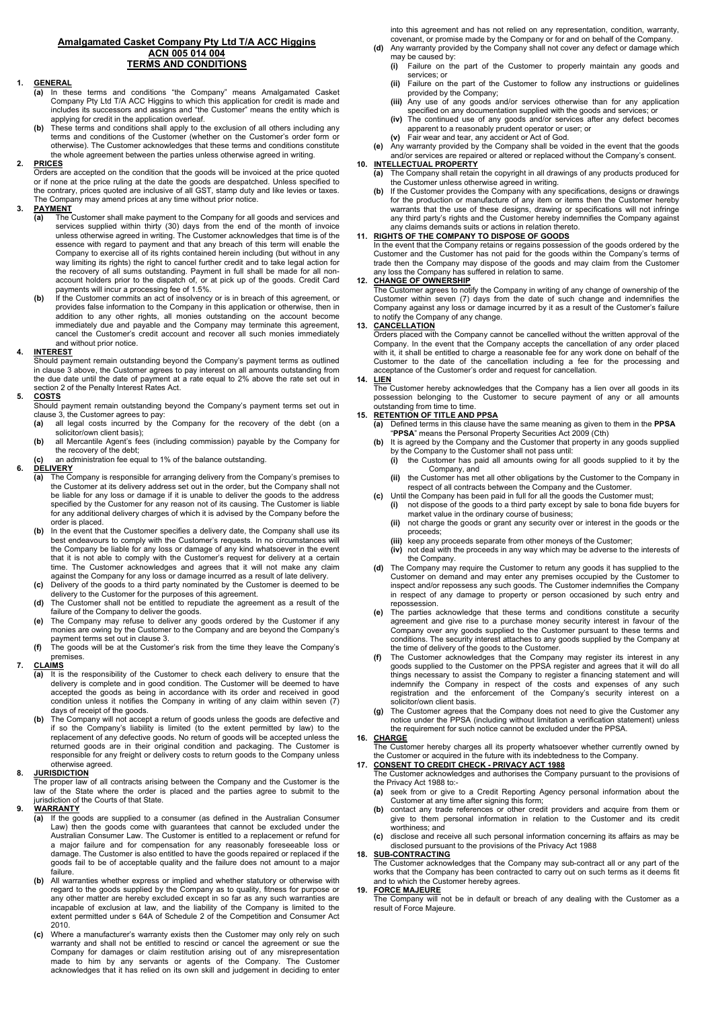#### **Amalgamated Casket Company Pty Ltd T/A ACC Higgins ACN 005 014 004 TERMS AND CONDITIONS**

#### **1. GENERAL**

- **(a)** In these terms and conditions "the Company" means Amalgamated Casket Company Pty Ltd T/A ACC Higgins to which this application for credit is made and includes its successors and assigns and "the Customer" means the entity which is applying for credit in the application overleaf.
- **(b)** These terms and conditions shall apply to the exclusion of all others including any terms and conditions of the Customer (whether on the Customer's order form or otherwise). The Customer acknowledges that these terms and conditions constitute the whole agreement between the parties unless otherwise agreed in writing.

#### **2. PRICES**

Orders are accepted on the condition that the goods will be invoiced at the price quoted or if none at the price ruling at the date the goods are despatched. Unless specified to the contrary, prices quoted are inclusive of all GST, stamp duty and like levies or taxes. The Company may amend prices at any time without prior notice.

# **PAYMENT**<br>(a) The

- (a) The Customer shall make payment to the Company for all goods and services and<br>services supplied within thirty (30) days from the end of the month of invoice<br>unless otherwise agreed in writing. The Customer acknowledges essence with regard to payment and that any breach of this term will enable the Company to exercise all of its rights contained herein including (but without in any way limiting its rights) the right to cancel further credit and to take legal action for the recovery of all sums outstanding. Payment in full shall be made for all nonaccount holders prior to the dispatch of, or at pick up of the goods. Credit Card payments will incur a processing fee of 1.5%.
- (b) If the Customer commits an act of insolvency or is in breach of this agreement, or<br>provides false information to the Company in this application or otherwise, then in<br>addition to any other rights, all monies outstandin immediately due and payable and the Company may terminate this agreement, cancel the Customer's credit account and recover all such monies immediately and without prior notice.

#### **4. INTEREST**

Should payment remain outstanding beyond the Company's payment terms as outlined in clause 3 above, the Customer agrees to pay interest on all amounts outstanding from the due date until the date of payment at a rate equal to 2% above the rate set out in section 2 of the Penalty Interest Rates Act.

#### **5. COSTS**

Should payment remain outstanding beyond the Company's payment terms set out in clause 3, the Customer agrees to pay<br>(a) all legal costs incurred by the

- all legal costs incurred by the Company for the recovery of the debt (on a solicitor/own client basis);
- **(b)** all Mercantile Agent's fees (including commission) payable by the Company for the recovery of the debt;
- **(c)** an administration fee equal to 1% of the balance outstanding.

# **6. DELIVERY**

- **(a)** The Company is responsible for arranging delivery from the Company's premises to the Customer at its delivery address set out in the order, but the Company shall not be liable for any loss or damage if it is unable to deliver the goods to the address specified by the Customer for any reason not of its causing. The Customer is liable for any additional delivery charges of which it is advised by the Company before the order is placed.
- In the event that the Customer specifies a delivery date, the Company shall use its best endeavours to comply with the Customer's requests. In no circumstances will the Company be liable for any loss or damage of any kind whatsoever in the event that it is not able to comply with the Customer's request for delivery at a certain time. The Customer acknowledges and agrees that it will not make any claim against the Company for any loss or damage incurred as a result of late delivery.
- **(c)** Delivery of the goods to a third party nominated by the Customer is deemed to be delivery to the Customer for the purposes of this agreement. **(d)** The Customer shall not be entitled to repudiate the agreement as a result of the
- failure of the Company to deliver the goods.
- **(e)** The Company may refuse to deliver any goods ordered by the Customer if any monies are owing by the Customer to the Company and are beyond the Company's payment terms set out in clause 3.
- **(f)** The goods will be at the Customer's risk from the time they leave the Company's premises.

# **7. CLAIMS**

- **(a)** It is the responsibility of the Customer to check each delivery to ensure that the delivery is complete and in good condition. The Customer will be deemed to have accepted the goods as being in accordance with its order and received in good condition unless it notifies the Company in writing of any claim within seven (7) days of receipt of the goods.
- The Company will not accept a return of goods unless the goods are defective and if so the Company's liability is limited (to the extent permitted by law) to the<br>replacement of any defective goods. No return of goods will be accepted unless the<br>returned goods are in their original condition and packagi responsible for any freight or delivery costs to return goods to the Company unless otherwise agreed.

#### **8. JURISDICTION**

The proper law of all contracts arising between the Company and the Customer is the law of the State where the order is placed and the parties agree to submit to the jurisdiction of the Courts of that State.

#### **9. WARRANTY**

- **(a)** If the goods are supplied to a consumer (as defined in the Australian Consumer Law) then the goods come with guarantees that cannot be excluded under the Australian Consumer Law. The Customer is entitled to a replacement or refund for a major failure and for compensation for any reasonably foreseeable loss or damage. The Customer is also entitled to have the goods repaired or replaced if the goods fail to be of acceptable quality and the failure does not amount to a major failure.
- **(b)** All warranties whether express or implied and whether statutory or otherwise with regard to the goods supplied by the Company as to quality, fitness for purpose or any other matter are hereby excluded except in so far as any such warranties are incapable of exclusion at law, and the liability of the Company is limited to the extent permitted under s 64A of Schedule 2 of the Competition and Consumer Act 2010.
- **(c)** Where a manufacturer's warranty exists then the Customer may only rely on such warranty and shall not be entitled to rescind or cancel the agreement or sue the Company for damages or claim restitution arising out of any misrepresentation made to him by any servants or agents of the Company. The Customer acknowledges that it has relied on its own skill and judgement in deciding to enter

into this agreement and has not relied on any representation, condition, warranty, covenant, or promise made by the Company or for and on behalf of the Company.

- **(d)** Any warranty provided by the Company shall not cover any defect or damage which may be caused by:
	- **(i)** Failure on the part of the Customer to properly maintain any goods and services; or
	- **(ii)** Failure on the part of the Customer to follow any instructions or guidelines provided by the Company; **(iii)** Any use of any goods and/or services otherwise than for any application
	- specified on any documentation supplied with the goods and services; or
	- **(iv)** The continued use of any goods and/or services after any defect becomes apparent to a reasonably prudent operator or user; or
	- **(v)** Fair wear and tear, any accident or Act of God.

**(e)** Any warranty provided by the Company shall be voided in the event that the goods and/or services are repaired or altered or replaced without the Company's consent.

#### **10. INTELLECTUAL PROPERTY (a)** The Company shall retain the copyright in all drawings of any products produced for the Customer unless otherwise agreed in writing.

**(b)** If the Customer provides the Company with any specifications, designs or drawings for the production or manufacture of any item or items then the Customer hereby warrants that the use of these designs, drawing or specifications will not infringe any third party's rights and the Customer hereby indemnifies the Company against any claims demands suits or actions in relation thereto.

#### **11. RIGHTS OF THE COMPANY TO DISPOSE OF GOODS**

In the event that the Company retains or regains possession of the goods ordered by the Customer and the Customer has not paid for the goods within the Company's terms of trade then the Company may dispose of the goods and may claim from the Customer any loss the Company has suffered in relation to same.

#### **12. CHANGE OF OWNERSHIP**

The Customer agrees to notify the Company in writing of any change of ownership of the Customer within seven (7) days from the date of such change and indemnifies the Company against any loss or damage incurred by it as a result of the Customer's failure to notify the Company of any change.

### **13. CANCELLATION**

Orders placed with the Company cannot be cancelled without the written approval of the Company. In the event that the Company accepts the cancellation of any order placed with it, it shall be entitled to charge a reasonable fee for any work done on behalf of the Customer to the date of the cancellation including a fee for the processing and acceptance of the Customer's order and request for cancellation.

## **14. LIEN**

<u>------</u><br>The Customer hereby acknowledges that the Company has a lien over all goods in its possession belonging to the Customer to secure payment of any or all amounts outstanding from time to time.

- **15. RETENTION OF TITLE AND PPSA (a)** Defined terms in this clause have the same meaning as given to them in the **PPSA** "**PPSA**" means the Personal Property Securities Act 2009 (Cth)
	- **(b)** It is agreed by the Company and the Customer that property in any goods supplied by the Company to the Customer shall not pass until:<br>(i) the Customer shall not pass until:<br>(i) the Customer has paid all amounts owing for
		- **(i)** the Customer has paid all amounts owing for all goods supplied to it by the Company, and
		- **(ii)** the Customer has met all other obligations by the Customer to the Company in respect of all contracts between the Company and the Customer.
	- **(c)** Until the Company has been paid in full for all the goods the Customer must;
		- **(i)** not dispose of the goods to a third party except by sale to bona fide buyers for market value in the ordinary course of business;
		- **(ii)** not charge the goods or grant any security over or interest in the goods or the proceeds;
		- **(iii)** keep any proceeds separate from other moneys of the Customer; **(iv)** not deal with the proceeds in any way which may be adverse to the
		- **(iv)** not deal with the proceeds in any way which may be adverse to the interests of the Company.
	- **(d)** The Company may require the Customer to return any goods it has supplied to the Customer on demand and may enter any premises occupied by the Customer to inspect and/or repossess any such goods. The Customer indemnifies the Company in respect of any damage to property or person occasioned by such entry and repossession.
	- **(e)** The parties acknowledge that these terms and conditions constitute a security agreement and give rise to a purchase money security interest in favour of the Company over any goods supplied to the Customer pursuant to these terms and conditions. The security interest attaches to any goods supplied by the Company at the time of delivery of the goods to the Customer.
	- **(f)** The Customer acknowledges that the Company may register its interest in any goods supplied to the Customer on the PPSA register and agrees that it will do all things necessary to assist the Company to register a financing statement and will indemnify the Company in respect of the costs and expenses of any such registration and the enforcement of the Company's security interest on a solicitor/own client basis.
	- **(g)** The Customer agrees that the Company does not need to give the Customer any notice under the PPSA (including without limitation a verification statement) unless the requirement for such notice cannot be excluded under the PPSA.

**16. CHARGE**

**The Customer hereby charges all its property whatsoever whether currently owned by** the Customer or acquired in the future with its indebtedness to the Company. **17. CONSENT TO CREDIT CHECK - PRIVACY ACT 1988**

- The Customer acknowledges and authorises the Company pursuant to the provisions of the Privacy Act 1988 to:-
- **(a)** seek from or give to a Credit Reporting Agency personal information about the Customer at any time after signing this form;
- **(b)** contact any trade references or other credit providers and acquire from them or give to them personal information in relation to the Customer and its credit worthiness; and
- **(c)** disclose and receive all such personal information concerning its affairs as may be disclosed pursuant to the provisions of the Privacy Act 1988

#### **18. SUB-CONTRACTING**

The Customer acknowledges that the Company may sub-contract all or any part of the works that the Company has been contracted to carry out on such terms as it deems fit and to which the Customer hereby agrees.

#### **19. FORCE MAJEURE**

The Company will not be in default or breach of any dealing with the Customer as a result of Force Majeure.